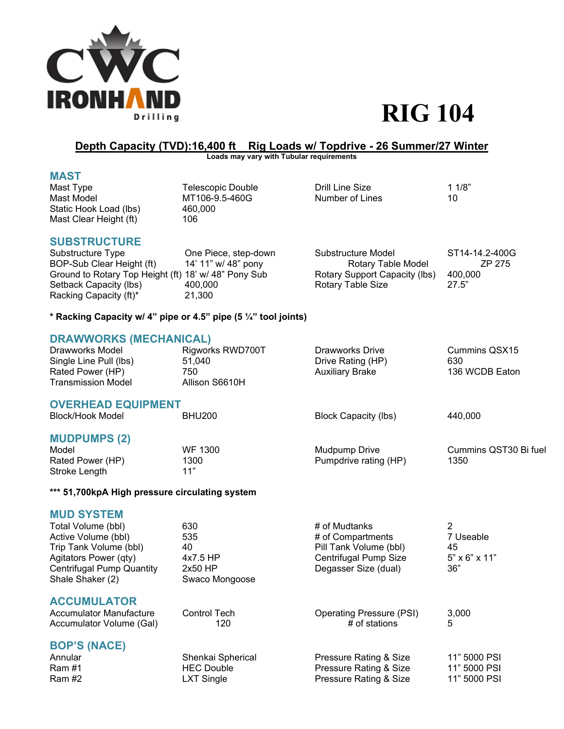

## **Depth Capacity (TVD):16,400 ft Rig Loads w/ Topdrive - 26 Summer/27 Winter**

**Loads may vary with Tubular requirements** 

| Mast Type              | Telescopic Double | Drill Line Size | 11/8" |
|------------------------|-------------------|-----------------|-------|
| Mast Model             | MT106-9.5-460G    | Number of Lines | 10    |
| Static Hook Load (lbs) | 460.000           |                 |       |
| Mast Clear Height (ft) | 106               |                 |       |

# **SUBSTRUCTURE**

One Piece, step-down Substructure Model ST14-14.2-400G BOP-Sub Clear Height (ft) 14' 11" w/ 48" pony Rotary Table Model 2P 275<br>Ground to Rotary Top Height (ft) 18' w/ 48" Pony Sub Rotary Support Capacity (lbs) 400,000 Ground to Rotary Top Height (ft) 18' w/ 48" Pony Sub Setback Capacity (lbs)  $400,000$  Rotary Table Size 27.5" Racking Capacity (ft)<sup>\*</sup> 21,300

**\* Racking Capacity w/ 4" pipe or 4.5" pipe (5 ¼" tool joints)** 

### **DRAWWORKS (MECHANICAL)**

| Drawworks Model        | Rigworks RWD700T | Drawworks Drive        | Cummins QSX15  |
|------------------------|------------------|------------------------|----------------|
| Single Line Pull (lbs) | 51.040           | Drive Rating (HP)      | 630            |
| Rated Power (HP)       | 750              | <b>Auxiliary Brake</b> | 136 WCDB Eaton |
| Transmission Model     | Allison S6610H   |                        |                |
|                        |                  |                        |                |

### **OVERHEAD EQUIPMENT**

| <b>Block/Hook Model</b>           | <b>BHU200</b> | Block Capacity (lbs)  | 440.000               |
|-----------------------------------|---------------|-----------------------|-----------------------|
| <b>MUDPUMPS (2)</b><br>Model      | WF 1300       | Mudpump Drive         | Cummins QST30 Bi fuel |
| Rated Power (HP)<br>Stroke Length | 1300<br>11"   | Pumpdrive rating (HP) | 1350                  |

### **\*\*\* 51,700kpA High pressure circulating system**

**MUD SYSTEM** 

| Total Volume (bbl)               | 630                 | # of Mudtanks                   |                           |
|----------------------------------|---------------------|---------------------------------|---------------------------|
| Active Volume (bbl)              | 535                 | # of Compartments               | 7 Useable                 |
| Trip Tank Volume (bbl)           | 40                  | Pill Tank Volume (bbl)          | 45                        |
| Agitators Power (qty)            | 4x7.5 HP            | Centrifugal Pump Size           | $5" \times 6" \times 11"$ |
| <b>Centrifugal Pump Quantity</b> | $2x50$ HP           | Degasser Size (dual)            | 36"                       |
| Shale Shaker (2)                 | Swaco Mongoose      |                                 |                           |
| <b>ACCUMULATOR</b>               |                     |                                 |                           |
| <b>Accumulator Manufacture</b>   | <b>Control Tech</b> | <b>Operating Pressure (PSI)</b> | 3,000                     |
| Accumulator Volume (Gal)         | 120                 | # of stations                   | 5                         |
| <b>BOP'S (NACE)</b>              |                     |                                 |                           |
| Annular                          | Shenkai Spherical   | Pressure Rating & Size          | 11" 5000 PSI              |
| <b>Ram #1</b>                    | <b>HEC Double</b>   | Pressure Rating & Size          | 11" 5000 PSI              |

Ram #2 **LXT** Single **Pressure Rating & Size** 11" 5000 PSI